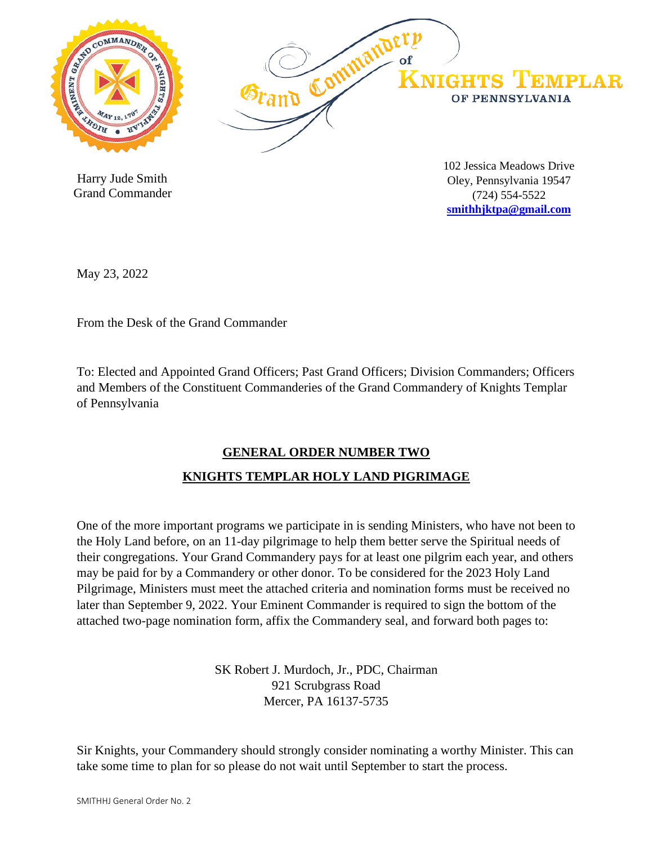

 Harry Jude Smith Grand Commander

Oley, Pennsylvania 19547 (724) 554-5522 **[smithhjktpa@gmail.com](mailto:smithhjktpa@gmail.com)**

May 23, 2022

From the Desk of the Grand Commander

To: Elected and Appointed Grand Officers; Past Grand Officers; Division Commanders; Officers and Members of the Constituent Commanderies of the Grand Commandery of Knights Templar of Pennsylvania

## **GENERAL ORDER NUMBER TWO**

## **KNIGHTS TEMPLAR HOLY LAND PIGRIMAGE**

One of the more important programs we participate in is sending Ministers, who have not been to the Holy Land before, on an 11-day pilgrimage to help them better serve the Spiritual needs of their congregations. Your Grand Commandery pays for at least one pilgrim each year, and others may be paid for by a Commandery or other donor. To be considered for the 2023 Holy Land Pilgrimage, Ministers must meet the attached criteria and nomination forms must be received no later than September 9, 2022. Your Eminent Commander is required to sign the bottom of the attached two-page nomination form, affix the Commandery seal, and forward both pages to:

> SK Robert J. Murdoch, Jr., PDC, Chairman 921 Scrubgrass Road Mercer, PA 16137-5735

Sir Knights, your Commandery should strongly consider nominating a worthy Minister. This can take some time to plan for so please do not wait until September to start the process.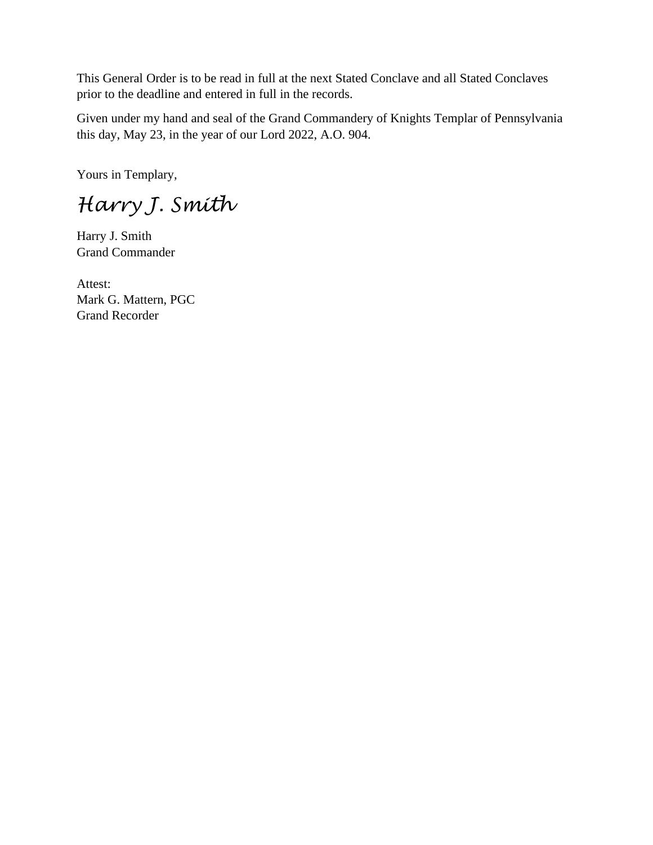This General Order is to be read in full at the next Stated Conclave and all Stated Conclaves prior to the deadline and entered in full in the records.

Given under my hand and seal of the Grand Commandery of Knights Templar of Pennsylvania this day, May 23, in the year of our Lord 2022, A.O. 904.

Yours in Templary,

*Harry J. Smith*

Harry J. Smith Grand Commander

Attest: Mark G. Mattern, PGC Grand Recorder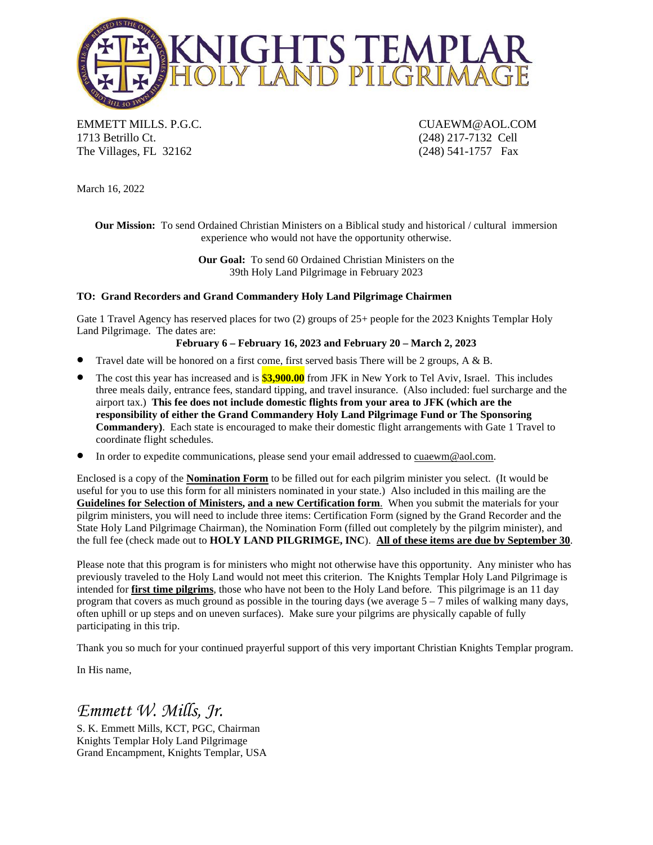

EMMETT MILLS. P.G.C. CUAEWM@AOL.COM 1713 Betrillo Ct. (248) 217-7132 Cell The Villages, FL 32162 (248) 541-1757 Fax

March 16, 2022

**Our Mission:** To send Ordained Christian Ministers on a Biblical study and historical / cultural immersion experience who would not have the opportunity otherwise.

> **Our Goal:** To send 60 Ordained Christian Ministers on the 39th Holy Land Pilgrimage in February 2023

#### **TO: Grand Recorders and Grand Commandery Holy Land Pilgrimage Chairmen**

Gate 1 Travel Agency has reserved places for two (2) groups of 25+ people for the 2023 Knights Templar Holy Land Pilgrimage. The dates are:

#### **February 6 – February 16, 2023 and February 20 – March 2, 2023**

- Travel date will be honored on a first come, first served basis There will be 2 groups, A & B.
- The cost this year has increased and is \$**3,900.00** from JFK in New York to Tel Aviv, Israel. This includes three meals daily, entrance fees, standard tipping, and travel insurance. (Also included: fuel surcharge and the airport tax.) **This fee does not include domestic flights from your area to JFK (which are the responsibility of either the Grand Commandery Holy Land Pilgrimage Fund or The Sponsoring Commandery)**. Each state is encouraged to make their domestic flight arrangements with Gate 1 Travel to coordinate flight schedules.
- In order to expedite communications, please send your email addressed to cuaewm@aol.com.

Enclosed is a copy of the **Nomination Form** to be filled out for each pilgrim minister you select. (It would be useful for you to use this form for all ministers nominated in your state.) Also included in this mailing are the **Guidelines for Selection of Ministers, and a new Certification form**. When you submit the materials for your pilgrim ministers, you will need to include three items: Certification Form (signed by the Grand Recorder and the State Holy Land Pilgrimage Chairman), the Nomination Form (filled out completely by the pilgrim minister), and the full fee (check made out to **HOLY LAND PILGRIMGE, INC**). **All of these items are due by September 30**.

Please note that this program is for ministers who might not otherwise have this opportunity. Any minister who has previously traveled to the Holy Land would not meet this criterion. The Knights Templar Holy Land Pilgrimage is intended for **first time pilgrims**, those who have not been to the Holy Land before. This pilgrimage is an 11 day program that covers as much ground as possible in the touring days (we average  $5 - 7$  miles of walking many days, often uphill or up steps and on uneven surfaces). Make sure your pilgrims are physically capable of fully participating in this trip.

Thank you so much for your continued prayerful support of this very important Christian Knights Templar program.

In His name,

# *Emmett W. Mills, Jr.*

S. K. Emmett Mills, KCT, PGC, Chairman Knights Templar Holy Land Pilgrimage Grand Encampment, Knights Templar, USA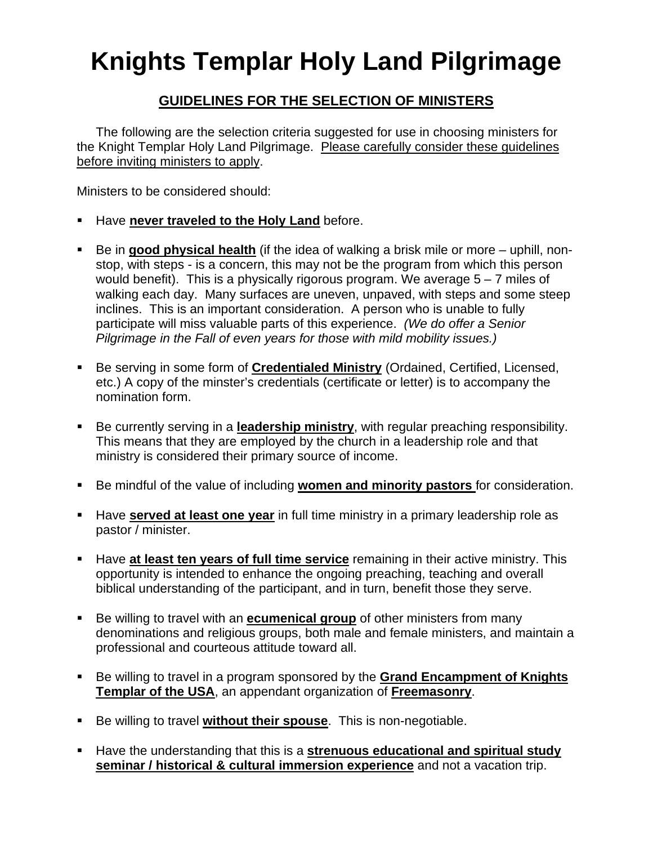# **Knights Templar Holy Land Pilgrimage**

# **GUIDELINES FOR THE SELECTION OF MINISTERS**

The following are the selection criteria suggested for use in choosing ministers for the Knight Templar Holy Land Pilgrimage. Please carefully consider these guidelines before inviting ministers to apply.

Ministers to be considered should:

- Have **never traveled to the Holy Land** before.
- Be in **good physical health** (if the idea of walking a brisk mile or more uphill, nonstop, with steps - is a concern, this may not be the program from which this person would benefit). This is a physically rigorous program. We average  $5 - 7$  miles of walking each day. Many surfaces are uneven, unpaved, with steps and some steep inclines. This is an important consideration. A person who is unable to fully participate will miss valuable parts of this experience. *(We do offer a Senior Pilgrimage in the Fall of even years for those with mild mobility issues.)*
- Be serving in some form of **Credentialed Ministry** (Ordained, Certified, Licensed, etc.) A copy of the minster's credentials (certificate or letter) is to accompany the nomination form.
- Be currently serving in a **leadership ministry**, with regular preaching responsibility. This means that they are employed by the church in a leadership role and that ministry is considered their primary source of income.
- Be mindful of the value of including **women and minority pastors** for consideration.
- **Have served at least one year** in full time ministry in a primary leadership role as pastor / minister.
- **Have at least ten years of full time service** remaining in their active ministry. This opportunity is intended to enhance the ongoing preaching, teaching and overall biblical understanding of the participant, and in turn, benefit those they serve.
- Be willing to travel with an **ecumenical group** of other ministers from many denominations and religious groups, both male and female ministers, and maintain a professional and courteous attitude toward all.
- Be willing to travel in a program sponsored by the **Grand Encampment of Knights Templar of the USA**, an appendant organization of **Freemasonry**.
- **Be willing to travel without their spouse**. This is non-negotiable.
- Have the understanding that this is a **strenuous educational and spiritual study seminar / historical & cultural immersion experience** and not a vacation trip.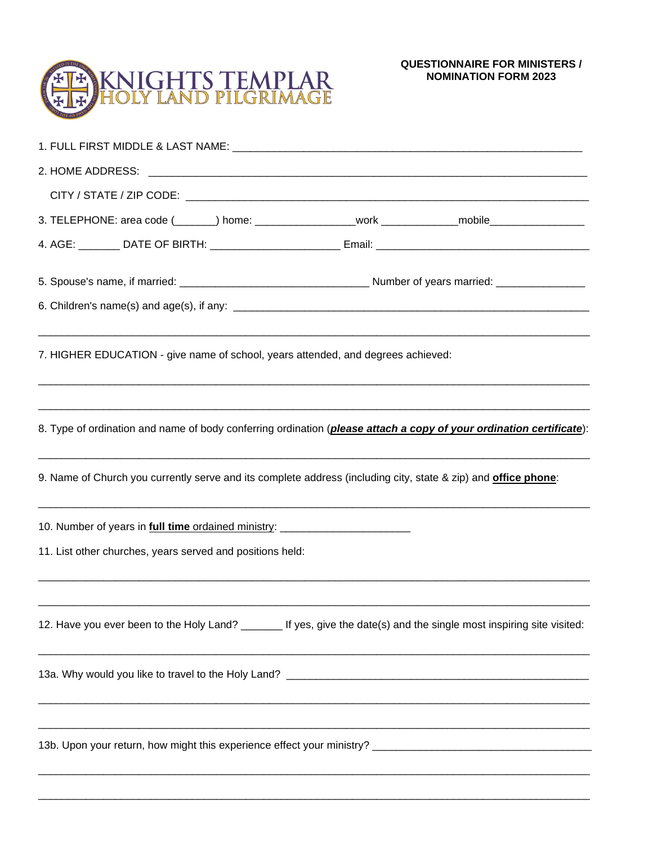### **QUESTIONNAIRE FOR MINISTERS / NOMINATION FORM 2023**



| 3. TELEPHONE: area code (_______) home: ___________________work _____________mobile________________                          |  |
|------------------------------------------------------------------------------------------------------------------------------|--|
|                                                                                                                              |  |
|                                                                                                                              |  |
|                                                                                                                              |  |
| 7. HIGHER EDUCATION - give name of school, years attended, and degrees achieved:                                             |  |
| 8. Type of ordination and name of body conferring ordination ( <i>please attach a copy of your ordination certificate</i> ): |  |
| 9. Name of Church you currently serve and its complete address (including city, state & zip) and <b>office phone</b> :       |  |
| 10. Number of years in <b>full time</b> ordained ministry: ___________________________                                       |  |
| 11. List other churches, years served and positions held:                                                                    |  |
| 12. Have you ever been to the Holy Land? _______ If yes, give the date(s) and the single most inspiring site visited:        |  |
|                                                                                                                              |  |
|                                                                                                                              |  |